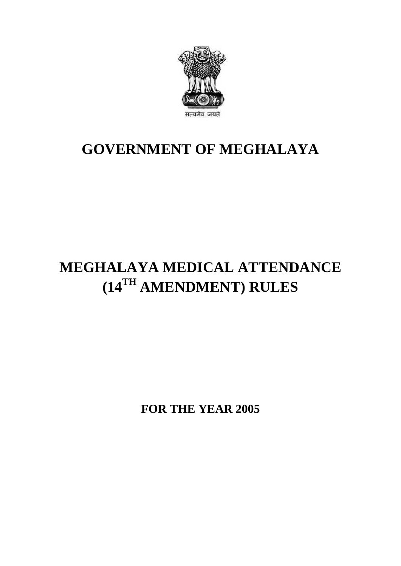

## **GOVERNMENT OF MEGHALAYA**

# **MEGHALAYA MEDICAL ATTENDANCE (14TH AMENDMENT) RULES**

**FOR THE YEAR 2005**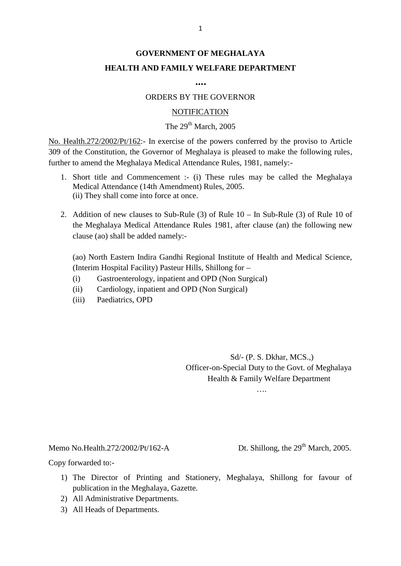## **GOVERNMENT OF MEGHALAYA HEALTH AND FAMILY WELFARE DEPARTMENT**

**….**

#### ORDERS BY THE GOVERNOR

#### **NOTIFICATION**

### The  $29<sup>th</sup>$  March, 2005

ORDERS BY THE GOVERNOR<br>
NOTIFICATION<br>
The  $29^{\text{th}}$  March, 2005<br>
No. Health.272/2002/Pt/162:- In exercise of the powers conferred by the proviso to Article<br>
309 of the Constitution, the Governor of Meghalaya is pleased t 309 of the Constitution, the Governor of Meghalaya is pleased to make the following rules, further to amend the Meghalaya Medical Attendance Rules, 1981, namely:- 1. Short title and Commencement :- (i) These rules may be called the Meghalaya Medical Attendance Rules, 1981, namely:-<br>1. Short title and Commencement :- (i) These rules may be called the Meghalaya Medical Attendance (14t alth.272/2002/Pt/162:- In exercise of the powers conferm<br>the Constitution, the Governor of Meghalaya is pleased<br>to amend the Meghalaya Medical Attendance Rules, 1981<br>Short title and Commencement :- (i) These rules ma<br>Medic

- (ii) They shall come into force at once. 2. Addition of new clauses to Sub-Rule (3) of Rule 10 – In Sub-Rule (3) of Rule 10 of the Meghalaya Medical Attendance to Sub-Rule (3) of Rule 10 – In Sub-Rule (3) of Rule 10 of the Meghalaya Medical Attendance Rules 1981
- Short title and Commencement :- (1) These rules may be called the Meghalaya<br>Medical Attendance (14th Amendment) Rules, 2005.<br>(ii) They shall come into force at once.<br>Addition of new clauses to Sub-Rule (3) of Rule 10 In clause (ao) shall be added namely:-

(ao) North Eastern Indira Gandhi Regional Institute of Health and Medical Science, (Interim Hospital Facility) Pasteur Hills, Shillong for – clause (ao) shall be added namely:-<br>
(ao) North Eastern Indira Gandhi Regional Institute of Health ar<br>
(Interim Hospital Facility) Pasteur Hills, Shillong for –<br>
(i) Gastroenterology, inpatient and OPD (Non Surgical)<br>
(ii) (ao) North Eastern Indira Gandhi Regional Institute of He.<br>
(Interim Hospital Facility) Pasteur Hills, Shillong for –<br>
(i) Gastroenterology, inpatient and OPD (Non Surgical)<br>
(iii) Cardiology, inpatient and OPD (Non Surgic (ao) North Eastern Indira Gandhi Re<br>
(Interim Hospital Facility) Pasteur Hil<br>
(i) Gastroenterology, inpatient an<br>
(ii) Cardiology, inpatient and OPI<br>
(iii) Paediatrics, OPD

- 
- 
- 

Sd/- (P. S. Dkhar, MCS.,) Officer-on-Special Duty to the Govt. of Meghalaya Health & Family Welfare Department

….

Memo No.Health.272/2002/Pt/162-A<br>Copy forwarded to:-

Memo No.Health.272/2002/Pt/162-A Dt. Shillong, the 29<sup>th</sup> March, 2005.<br>Copy forwarded to:-

- 1) The Director of Printing and Stationery, Meghalaya, Shillong for favour of publication in the Meghalaya, Gazette. publication in the Meghalaya, Gazette. by forwarded to:-<br>2) The Director of Printing and Stap<br>1) The Director of Printing and Stap<br>1) All Administrative Departments.<br>3) All Heads of Departments. by forwarded to:-<br>
1) The Director of Printing<br>
publication in the Meghala<br>
2) All Administrative Depart<br>
3) All Heads of Departments.
- 
-